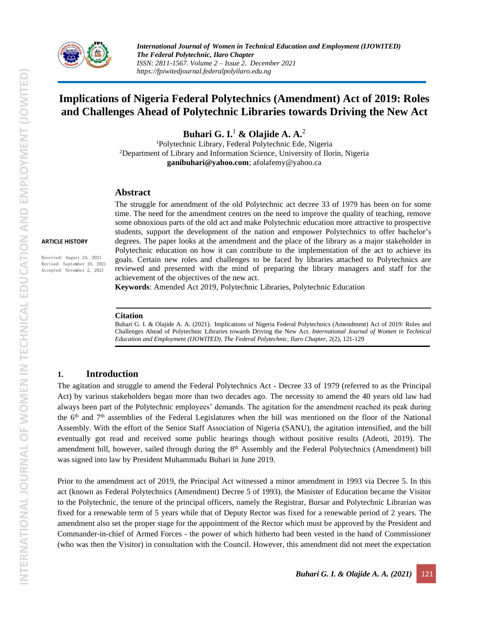

*International Journal of Women in Technical Education and Employment (IJOWITED) The Federal Polytechnic, Ilaro Chapter ISSN: 2811-1567. Volume 2 – Issue 2. December 2021 https://fpiwitedjournal.federalpolyilaro.edu.ng*

# **Implications of Nigeria Federal Polytechnics (Amendment) Act of 2019: Roles and Challenges Ahead of Polytechnic Libraries towards Driving the New Act**

**Buhari G. I.** <sup>1</sup> **& Olajide A. A.** 2

<sup>1</sup>Polytechnic Library, Federal Polytechnic Ede, Nigeria <sup>2</sup>Department of Library and Information Science, University of Ilorin, Nigeria **[ganibuhari@yahoo.com](mailto:ganibuhari@yahoo.com)**; [afolafemy@yahoo.ca](mailto:afolafemy@yahoo.ca)

#### **Abstract**

time. The need for the amendment centres on the need to improve the quality of teaching, remove some obnoxious parts of the old act and make Polytechnic education more attractive to prospective students, support the development of the nation and empower Polytechnics to offer bachelor's degrees. The paper looks at the amendment and the place of the library as a major stakeholder in Polytechnic education on how it can contribute to the implementation of the act to achieve its goals. Certain new roles and challenges to be faced by libraries attached to Polytechnics are reviewed and presented with the mind of preparing the library managers and staff for the achievement of the objectives of the new act.

The struggle for amendment of the old Polytechnic act decree 33 of 1979 has been on for some

**Keywords**: Amended Act 2019, Polytechnic Libraries, Polytechnic Education

#### **Citation**

Buhari G. I. & Olajide A. A. (2021). Implications of Nigeria Federal Polytechnics (Amendment) Act of 2019: Roles and Challenges Ahead of Polytechnic Libraries towards Driving the New Act. *International Journal of Women in Technical Education and Employment (IJOWITED), The Federal Polytechnic, Ilaro Chapter*, 2(2), 121-129

### **1. Introduction**

The agitation and struggle to amend the Federal Polytechnics Act - Decree 33 of 1979 (referred to as the Principal Act) by various stakeholders began more than two decades ago. The necessity to amend the 40 years old law had always been part of the Polytechnic employees' demands. The agitation for the amendment reached its peak during the 6<sup>th</sup> and 7<sup>th</sup> assemblies of the Federal Legislatures when the bill was mentioned on the floor of the National Assembly. With the effort of the Senior Staff Association of Nigeria (SANU), the agitation intensified, and the bill eventually got read and received some public hearings though without positive results (Adeoti, 2019). The amendment bill, however, sailed through during the 8<sup>th</sup> Assembly and the Federal Polytechnics (Amendment) bill was signed into law by President Muhammadu Buhari in June 2019.

Prior to the amendment act of 2019, the Principal Act witnessed a minor amendment in 1993 via Decree 5. In this act (known as Federal Polytechnics (Amendment) Decree 5 of 1993), the Minister of Education became the Visitor to the Polytechnic, the tenure of the principal officers, namely the Registrar, Bursar and Polytechnic Librarian was fixed for a renewable term of 5 years while that of Deputy Rector was fixed for a renewable period of 2 years. The amendment also set the proper stage for the appointment of the Rector which must be approved by the President and Commander-in-chief of Armed Forces - the power of which hitherto had been vested in the hand of Commissioner (who was then the Visitor) in consultation with the Council. However, this amendment did not meet the expectation

**ARTICLE HISTORY**

Received: August 24, 2021 Revised: September 10, 2021 Accepted: November 2, 2021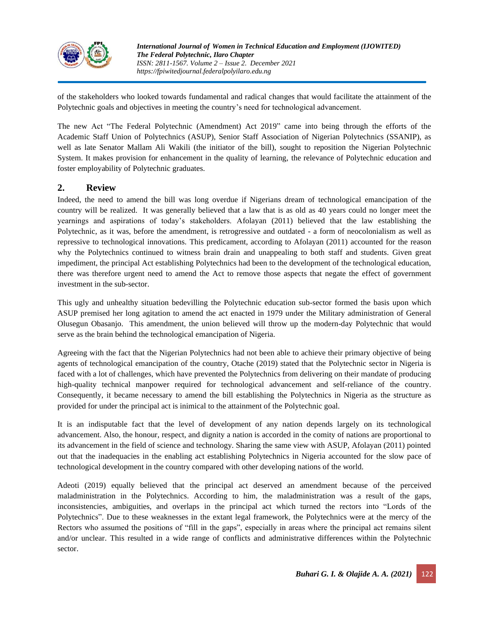

of the stakeholders who looked towards fundamental and radical changes that would facilitate the attainment of the Polytechnic goals and objectives in meeting the country's need for technological advancement.

The new Act "The Federal Polytechnic (Amendment) Act 2019" came into being through the efforts of the Academic Staff Union of Polytechnics (ASUP), Senior Staff Association of Nigerian Polytechnics (SSANIP), as well as late Senator Mallam Ali Wakili (the initiator of the bill), sought to reposition the Nigerian Polytechnic System. It makes provision for enhancement in the quality of learning, the relevance of Polytechnic education and foster employability of Polytechnic graduates.

### **2. Review**

Indeed, the need to amend the bill was long overdue if Nigerians dream of technological emancipation of the country will be realized. It was generally believed that a law that is as old as 40 years could no longer meet the yearnings and aspirations of today's stakeholders. Afolayan (2011) believed that the law establishing the Polytechnic, as it was, before the amendment, is retrogressive and outdated - a form of neocolonialism as well as repressive to technological innovations. This predicament, according to Afolayan (2011) accounted for the reason why the Polytechnics continued to witness brain drain and unappealing to both staff and students. Given great impediment, the principal Act establishing Polytechnics had been to the development of the technological education, there was therefore urgent need to amend the Act to remove those aspects that negate the effect of government investment in the sub-sector.

This ugly and unhealthy situation bedevilling the Polytechnic education sub-sector formed the basis upon which ASUP premised her long agitation to amend the act enacted in 1979 under the Military administration of General Olusegun Obasanjo. This amendment, the union believed will throw up the modern-day Polytechnic that would serve as the brain behind the technological emancipation of Nigeria.

Agreeing with the fact that the Nigerian Polytechnics had not been able to achieve their primary objective of being agents of technological emancipation of the country, Otache (2019) stated that the Polytechnic sector in Nigeria is faced with a lot of challenges, which have prevented the Polytechnics from delivering on their mandate of producing high-quality technical manpower required for technological advancement and self-reliance of the country. Consequently, it became necessary to amend the bill establishing the Polytechnics in Nigeria as the structure as provided for under the principal act is inimical to the attainment of the Polytechnic goal.

It is an indisputable fact that the level of development of any nation depends largely on its technological advancement. Also, the honour, respect, and dignity a nation is accorded in the comity of nations are proportional to its advancement in the field of science and technology. Sharing the same view with ASUP, Afolayan (2011) pointed out that the inadequacies in the enabling act establishing Polytechnics in Nigeria accounted for the slow pace of technological development in the country compared with other developing nations of the world.

Adeoti (2019) equally believed that the principal act deserved an amendment because of the perceived maladministration in the Polytechnics. According to him, the maladministration was a result of the gaps, inconsistencies, ambiguities, and overlaps in the principal act which turned the rectors into "Lords of the Polytechnics". Due to these weaknesses in the extant legal framework, the Polytechnics were at the mercy of the Rectors who assumed the positions of "fill in the gaps", especially in areas where the principal act remains silent and/or unclear. This resulted in a wide range of conflicts and administrative differences within the Polytechnic sector.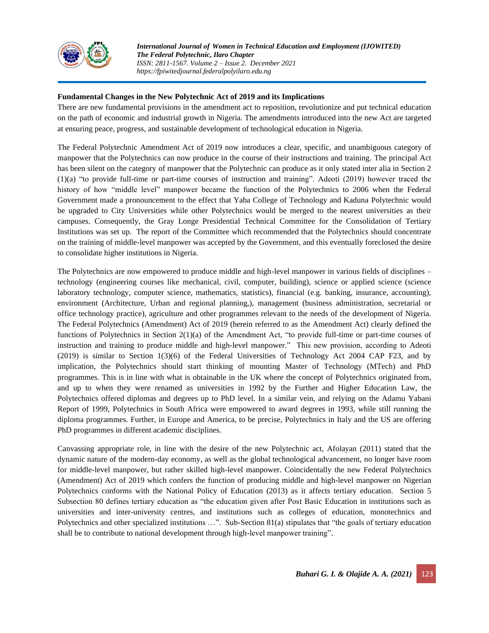

*International Journal of Women in Technical Education and Employment (IJOWITED) The Federal Polytechnic, Ilaro Chapter ISSN: 2811-1567. Volume 2 – Issue 2. December 2021 https://fpiwitedjournal.federalpolyilaro.edu.ng*

### **Fundamental Changes in the New Polytechnic Act of 2019 and its Implications**

There are new fundamental provisions in the amendment act to reposition, revolutionize and put technical education on the path of economic and industrial growth in Nigeria. The amendments introduced into the new Act are targeted at ensuring peace, progress, and sustainable development of technological education in Nigeria.

The Federal Polytechnic Amendment Act of 2019 now introduces a clear, specific, and unambiguous category of manpower that the Polytechnics can now produce in the course of their instructions and training. The principal Act has been silent on the category of manpower that the Polytechnic can produce as it only stated inter alia in Section 2 (1)(a) "to provide full-time or part-time courses of instruction and training". Adeoti (2019) however traced the history of how "middle level" manpower became the function of the Polytechnics to 2006 when the Federal Government made a pronouncement to the effect that Yaba College of Technology and Kaduna Polytechnic would be upgraded to City Universities while other Polytechnics would be merged to the nearest universities as their campuses. Consequently, the Gray Longe Presidential Technical Committee for the Consolidation of Tertiary Institutions was set up. The report of the Committee which recommended that the Polytechnics should concentrate on the training of middle-level manpower was accepted by the Government, and this eventually foreclosed the desire to consolidate higher institutions in Nigeria.

The Polytechnics are now empowered to produce middle and high-level manpower in various fields of disciplines – technology (engineering courses like mechanical, civil, computer, building), science or applied science (science laboratory technology, computer science, mathematics, statistics), financial (e.g. banking, insurance, accounting), environment (Architecture, Urban and regional planning,), management (business administration, secretarial or office technology practice), agriculture and other programmes relevant to the needs of the development of Nigeria. The Federal Polytechnics (Amendment) Act of 2019 (herein referred to as the Amendment Act) clearly defined the functions of Polytechnics in Section 2(1)(a) of the Amendment Act, "to provide full-time or part-time courses of instruction and training to produce middle and high-level manpower." This new provision, according to Adeoti (2019) is similar to Section 1(3)(6) of the Federal Universities of Technology Act 2004 CAP F23, and by implication, the Polytechnics should start thinking of mounting Master of Technology (MTech) and PhD programmes. This is in line with what is obtainable in the UK where the concept of Polytechnics originated from, and up to when they were renamed as universities in 1992 by the Further and Higher Education Law, the Polytechnics offered diplomas and degrees up to PhD level. In a similar vein, and relying on the Adamu Yabani Report of 1999, Polytechnics in South Africa were empowered to award degrees in 1993, while still running the diploma programmes. Further, in Europe and America, to be precise, Polytechnics in Italy and the US are offering PhD programmes in different academic disciplines.

Canvassing appropriate role, in line with the desire of the new Polytechnic act, Afolayan (2011) stated that the dynamic nature of the modern-day economy, as well as the global technological advancement, no longer have room for middle-level manpower, but rather skilled high-level manpower. Coincidentally the new Federal Polytechnics (Amendment) Act of 2019 which confers the function of producing middle and high-level manpower on Nigerian Polytechnics conforms with the National Policy of Education (2013) as it affects tertiary education. Section 5 Subsection 80 defines tertiary education as "the education given after Post Basic Education in institutions such as universities and inter-university centres, and institutions such as colleges of education, monotechnics and Polytechnics and other specialized institutions …". Sub-Section 81(a) stipulates that "the goals of tertiary education shall be to contribute to national development through high-level manpower training".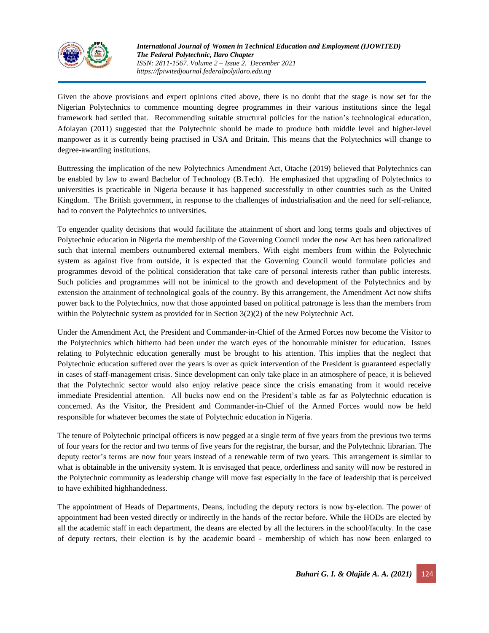

Given the above provisions and expert opinions cited above, there is no doubt that the stage is now set for the Nigerian Polytechnics to commence mounting degree programmes in their various institutions since the legal framework had settled that. Recommending suitable structural policies for the nation's technological education, Afolayan (2011) suggested that the Polytechnic should be made to produce both middle level and higher-level manpower as it is currently being practised in USA and Britain. This means that the Polytechnics will change to degree-awarding institutions.

Buttressing the implication of the new Polytechnics Amendment Act, Otache (2019) believed that Polytechnics can be enabled by law to award Bachelor of Technology (B.Tech). He emphasized that upgrading of Polytechnics to universities is practicable in Nigeria because it has happened successfully in other countries such as the United Kingdom. The British government, in response to the challenges of industrialisation and the need for self-reliance, had to convert the Polytechnics to universities.

To engender quality decisions that would facilitate the attainment of short and long terms goals and objectives of Polytechnic education in Nigeria the membership of the Governing Council under the new Act has been rationalized such that internal members outnumbered external members. With eight members from within the Polytechnic system as against five from outside, it is expected that the Governing Council would formulate policies and programmes devoid of the political consideration that take care of personal interests rather than public interests. Such policies and programmes will not be inimical to the growth and development of the Polytechnics and by extension the attainment of technological goals of the country. By this arrangement, the Amendment Act now shifts power back to the Polytechnics, now that those appointed based on political patronage is less than the members from within the Polytechnic system as provided for in Section 3(2)(2) of the new Polytechnic Act.

Under the Amendment Act, the President and Commander-in-Chief of the Armed Forces now become the Visitor to the Polytechnics which hitherto had been under the watch eyes of the honourable minister for education. Issues relating to Polytechnic education generally must be brought to his attention. This implies that the neglect that Polytechnic education suffered over the years is over as quick intervention of the President is guaranteed especially in cases of staff-management crisis. Since development can only take place in an atmosphere of peace, it is believed that the Polytechnic sector would also enjoy relative peace since the crisis emanating from it would receive immediate Presidential attention. All bucks now end on the President's table as far as Polytechnic education is concerned. As the Visitor, the President and Commander-in-Chief of the Armed Forces would now be held responsible for whatever becomes the state of Polytechnic education in Nigeria.

The tenure of Polytechnic principal officers is now pegged at a single term of five years from the previous two terms of four years for the rector and two terms of five years for the registrar, the bursar, and the Polytechnic librarian. The deputy rector's terms are now four years instead of a renewable term of two years. This arrangement is similar to what is obtainable in the university system. It is envisaged that peace, orderliness and sanity will now be restored in the Polytechnic community as leadership change will move fast especially in the face of leadership that is perceived to have exhibited highhandedness.

The appointment of Heads of Departments, Deans, including the deputy rectors is now by-election. The power of appointment had been vested directly or indirectly in the hands of the rector before. While the HODs are elected by all the academic staff in each department, the deans are elected by all the lecturers in the school/faculty. In the case of deputy rectors, their election is by the academic board - membership of which has now been enlarged to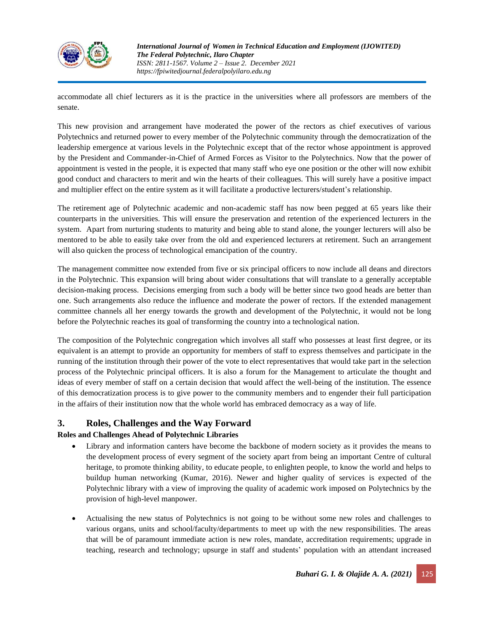

*International Journal of Women in Technical Education and Employment (IJOWITED) The Federal Polytechnic, Ilaro Chapter ISSN: 2811-1567. Volume 2 – Issue 2. December 2021 https://fpiwitedjournal.federalpolyilaro.edu.ng*

accommodate all chief lecturers as it is the practice in the universities where all professors are members of the senate.

This new provision and arrangement have moderated the power of the rectors as chief executives of various Polytechnics and returned power to every member of the Polytechnic community through the democratization of the leadership emergence at various levels in the Polytechnic except that of the rector whose appointment is approved by the President and Commander-in-Chief of Armed Forces as Visitor to the Polytechnics. Now that the power of appointment is vested in the people, it is expected that many staff who eye one position or the other will now exhibit good conduct and characters to merit and win the hearts of their colleagues. This will surely have a positive impact and multiplier effect on the entire system as it will facilitate a productive lecturers/student's relationship.

The retirement age of Polytechnic academic and non-academic staff has now been pegged at 65 years like their counterparts in the universities. This will ensure the preservation and retention of the experienced lecturers in the system. Apart from nurturing students to maturity and being able to stand alone, the younger lecturers will also be mentored to be able to easily take over from the old and experienced lecturers at retirement. Such an arrangement will also quicken the process of technological emancipation of the country.

The management committee now extended from five or six principal officers to now include all deans and directors in the Polytechnic. This expansion will bring about wider consultations that will translate to a generally acceptable decision-making process. Decisions emerging from such a body will be better since two good heads are better than one. Such arrangements also reduce the influence and moderate the power of rectors. If the extended management committee channels all her energy towards the growth and development of the Polytechnic, it would not be long before the Polytechnic reaches its goal of transforming the country into a technological nation.

The composition of the Polytechnic congregation which involves all staff who possesses at least first degree, or its equivalent is an attempt to provide an opportunity for members of staff to express themselves and participate in the running of the institution through their power of the vote to elect representatives that would take part in the selection process of the Polytechnic principal officers. It is also a forum for the Management to articulate the thought and ideas of every member of staff on a certain decision that would affect the well-being of the institution. The essence of this democratization process is to give power to the community members and to engender their full participation in the affairs of their institution now that the whole world has embraced democracy as a way of life.

## **3. Roles, Challenges and the Way Forward**

### **Roles and Challenges Ahead of Polytechnic Libraries**

- Library and information canters have become the backbone of modern society as it provides the means to the development process of every segment of the society apart from being an important Centre of cultural heritage, to promote thinking ability, to educate people, to enlighten people, to know the world and helps to buildup human networking (Kumar, 2016). Newer and higher quality of services is expected of the Polytechnic library with a view of improving the quality of academic work imposed on Polytechnics by the provision of high-level manpower.
- Actualising the new status of Polytechnics is not going to be without some new roles and challenges to various organs, units and school/faculty/departments to meet up with the new responsibilities. The areas that will be of paramount immediate action is new roles, mandate, accreditation requirements; upgrade in teaching, research and technology; upsurge in staff and students' population with an attendant increased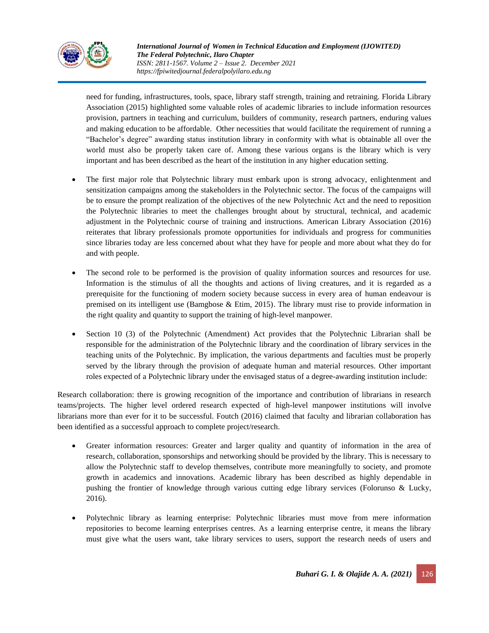

need for funding, infrastructures, tools, space, library staff strength, training and retraining. Florida Library Association (2015) highlighted some valuable roles of academic libraries to include information resources provision, partners in teaching and curriculum, builders of community, research partners, enduring values and making education to be affordable. Other necessities that would facilitate the requirement of running a "Bachelor's degree" awarding status institution library in conformity with what is obtainable all over the world must also be properly taken care of. Among these various organs is the library which is very important and has been described as the heart of the institution in any higher education setting.

- The first major role that Polytechnic library must embark upon is strong advocacy, enlightenment and sensitization campaigns among the stakeholders in the Polytechnic sector. The focus of the campaigns will be to ensure the prompt realization of the objectives of the new Polytechnic Act and the need to reposition the Polytechnic libraries to meet the challenges brought about by structural, technical, and academic adjustment in the Polytechnic course of training and instructions. American Library Association (2016) reiterates that library professionals promote opportunities for individuals and progress for communities since libraries today are less concerned about what they have for people and more about what they do for and with people.
- The second role to be performed is the provision of quality information sources and resources for use. Information is the stimulus of all the thoughts and actions of living creatures, and it is regarded as a prerequisite for the functioning of modern society because success in every area of human endeavour is premised on its intelligent use (Bamgbose  $\&$  Etim, 2015). The library must rise to provide information in the right quality and quantity to support the training of high-level manpower.
- Section 10 (3) of the Polytechnic (Amendment) Act provides that the Polytechnic Librarian shall be responsible for the administration of the Polytechnic library and the coordination of library services in the teaching units of the Polytechnic. By implication, the various departments and faculties must be properly served by the library through the provision of adequate human and material resources. Other important roles expected of a Polytechnic library under the envisaged status of a degree-awarding institution include:

Research collaboration: there is growing recognition of the importance and contribution of librarians in research teams/projects. The higher level ordered research expected of high-level manpower institutions will involve librarians more than ever for it to be successful. Foutch (2016) claimed that faculty and librarian collaboration has been identified as a successful approach to complete project/research.

- Greater information resources: Greater and larger quality and quantity of information in the area of research, collaboration, sponsorships and networking should be provided by the library. This is necessary to allow the Polytechnic staff to develop themselves, contribute more meaningfully to society, and promote growth in academics and innovations. Academic library has been described as highly dependable in pushing the frontier of knowledge through various cutting edge library services (Folorunso & Lucky, 2016).
- Polytechnic library as learning enterprise: Polytechnic libraries must move from mere information repositories to become learning enterprises centres. As a learning enterprise centre, it means the library must give what the users want, take library services to users, support the research needs of users and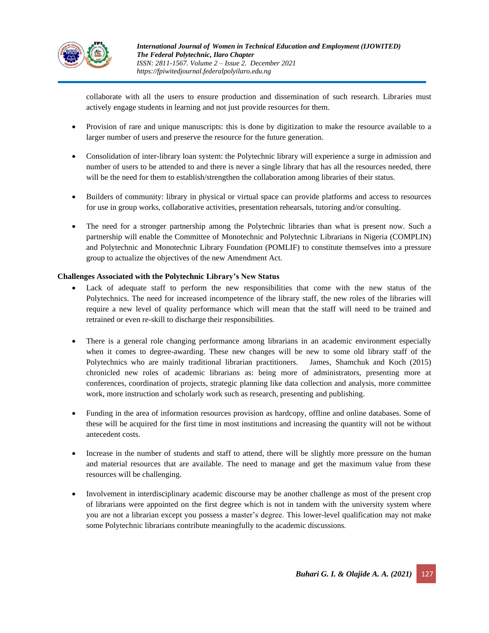

collaborate with all the users to ensure production and dissemination of such research. Libraries must actively engage students in learning and not just provide resources for them.

- Provision of rare and unique manuscripts: this is done by digitization to make the resource available to a larger number of users and preserve the resource for the future generation.
- Consolidation of inter-library loan system: the Polytechnic library will experience a surge in admission and number of users to be attended to and there is never a single library that has all the resources needed, there will be the need for them to establish/strengthen the collaboration among libraries of their status.
- Builders of community: library in physical or virtual space can provide platforms and access to resources for use in group works, collaborative activities, presentation rehearsals, tutoring and/or consulting.
- The need for a stronger partnership among the Polytechnic libraries than what is present now. Such a partnership will enable the Committee of Monotechnic and Polytechnic Librarians in Nigeria (COMPLIN) and Polytechnic and Monotechnic Library Foundation (POMLIF) to constitute themselves into a pressure group to actualize the objectives of the new Amendment Act.

### **Challenges Associated with the Polytechnic Library's New Status**

- Lack of adequate staff to perform the new responsibilities that come with the new status of the Polytechnics. The need for increased incompetence of the library staff, the new roles of the libraries will require a new level of quality performance which will mean that the staff will need to be trained and retrained or even re-skill to discharge their responsibilities.
- There is a general role changing performance among librarians in an academic environment especially when it comes to degree-awarding. These new changes will be new to some old library staff of the Polytechnics who are mainly traditional librarian practitioners. James, Shamchuk and Koch (2015) chronicled new roles of academic librarians as: being more of administrators, presenting more at conferences, coordination of projects, strategic planning like data collection and analysis, more committee work, more instruction and scholarly work such as research, presenting and publishing.
- Funding in the area of information resources provision as hardcopy, offline and online databases. Some of these will be acquired for the first time in most institutions and increasing the quantity will not be without antecedent costs.
- Increase in the number of students and staff to attend, there will be slightly more pressure on the human and material resources that are available. The need to manage and get the maximum value from these resources will be challenging.
- Involvement in interdisciplinary academic discourse may be another challenge as most of the present crop of librarians were appointed on the first degree which is not in tandem with the university system where you are not a librarian except you possess a master's degree. This lower-level qualification may not make some Polytechnic librarians contribute meaningfully to the academic discussions.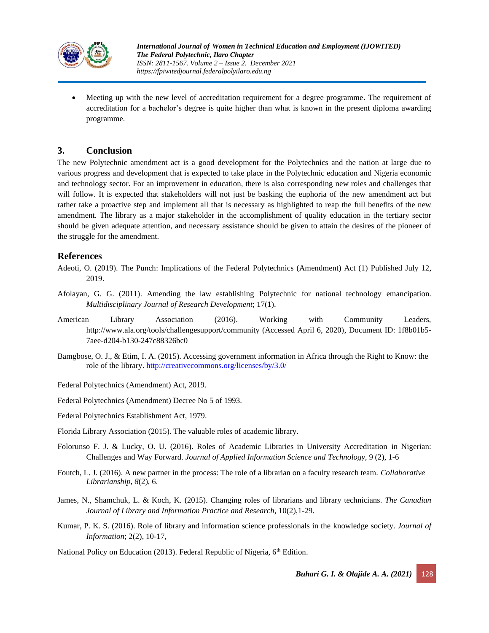

• Meeting up with the new level of accreditation requirement for a degree programme. The requirement of accreditation for a bachelor's degree is quite higher than what is known in the present diploma awarding programme.

### **3. Conclusion**

The new Polytechnic amendment act is a good development for the Polytechnics and the nation at large due to various progress and development that is expected to take place in the Polytechnic education and Nigeria economic and technology sector. For an improvement in education, there is also corresponding new roles and challenges that will follow. It is expected that stakeholders will not just be basking the euphoria of the new amendment act but rather take a proactive step and implement all that is necessary as highlighted to reap the full benefits of the new amendment. The library as a major stakeholder in the accomplishment of quality education in the tertiary sector should be given adequate attention, and necessary assistance should be given to attain the desires of the pioneer of the struggle for the amendment.

### **References**

- Adeoti, O. (2019). The Punch: Implications of the Federal Polytechnics (Amendment) Act (1) Published July 12, 2019.
- Afolayan, G. G. (2011). Amending the law establishing Polytechnic for national technology emancipation. *Multidisciplinary Journal of Research Development*; 17(1).
- American Library Association (2016). Working with Community Leaders, http://www.ala.org/tools/challengesupport/community (Accessed April 6, 2020), Document ID: 1f8b01b5- 7aee-d204-b130-247c88326bc0
- Bamgbose, O. J., & Etim, I. A. (2015). Accessing government information in Africa through the Right to Know: the role of the library. <http://creativecommons.org/licenses/by/3.0/>
- Federal Polytechnics (Amendment) Act, 2019.
- Federal Polytechnics (Amendment) Decree No 5 of 1993.
- Federal Polytechnics Establishment Act, 1979.
- Florida Library Association (2015). The valuable roles of academic library.
- Folorunso F. J. & Lucky, O. U. (2016). Roles of Academic Libraries in University Accreditation in Nigerian: Challenges and Way Forward. *Journal of Applied Information Science and Technology,* 9 (2), 1-6
- Foutch, L. J. (2016). A new partner in the process: The role of a librarian on a faculty research team. *Collaborative Librarianship*, *8*(2), 6.
- James, N., Shamchuk, L. & Koch, K. (2015). Changing roles of librarians and library technicians. *The Canadian Journal of Library and Information Practice and Research,* 10(2),1-29.
- Kumar, P. K. S. (2016). Role of library and information science professionals in the knowledge society. *Journal of Information*; 2(2), 10-17,

National Policy on Education (2013). Federal Republic of Nigeria, 6<sup>th</sup> Edition.